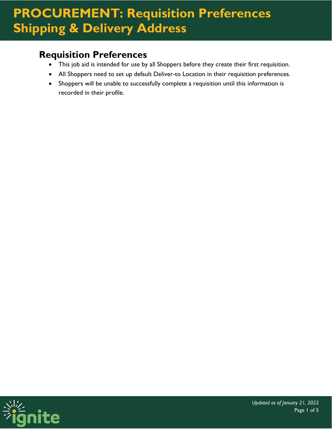#### **Requisition Preferences**

- This job aid is intended for use by all Shoppers before they create their first requisition.
- All Shoppers need to set up default Deliver-to Location in their requisition preferences.
- Shoppers will be unable to successfully complete a requisition until this information is recorded in their profile.

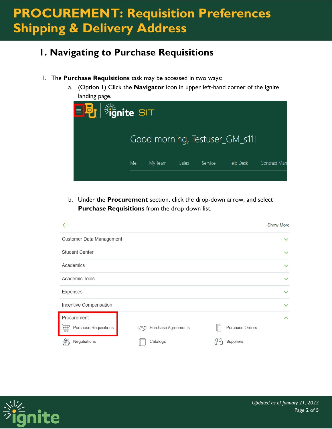#### **1. Navigating to Purchase Requisitions**

- 1. The **Purchase Requisitions** task may be accessed in two ways:
	- a. (Option 1) Click the **Navigator** icon in upper left-hand corner of the Ignite landing page.

| <b>ED</b> 满nite SIT |    |         |              |         |                                |                     |
|---------------------|----|---------|--------------|---------|--------------------------------|---------------------|
|                     |    |         |              |         | Good morning, Testuser_GM_s11! |                     |
|                     | Me | My Team | <b>Sales</b> | Service | Help Desk                      | <b>Contract Man</b> |
|                     |    |         |              |         |                                |                     |

b. Under the **Procurement** section, click the drop-down arrow, and select **Purchase Requisitions** from the drop-down list.

|                                   |                            |                       | <b>Show More</b> |
|-----------------------------------|----------------------------|-----------------------|------------------|
| Customer Data Management          |                            |                       | $\checkmark$     |
| <b>Student Center</b>             |                            |                       | $\checkmark$     |
| Academics                         |                            |                       | $\checkmark$     |
| Academic Tools                    |                            |                       | $\checkmark$     |
| Expenses                          |                            |                       | $\checkmark$     |
| Incentive Compensation            |                            |                       | $\checkmark$     |
| Procurement                       |                            |                       | $\sim$           |
| <b>Purchase Requisitions</b><br>孟 | Purchase Agreements<br>rea | Purchase Orders<br>IE |                  |
| Negotiations                      | Catalogs                   | Suppliers             |                  |

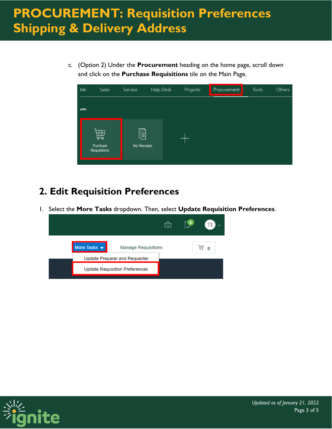c. (Option 2) Under the **Procurement** heading on the home page, scroll down and click on the **Purchase Requisitions** tile on the Main Page.

| Me          | Sales                         | Service          | Help Desk | Projects | Procurement | Tools | Others |
|-------------|-------------------------------|------------------|-----------|----------|-------------|-------|--------|
| <b>APPS</b> |                               |                  |           |          |             |       |        |
|             | 曲<br>Purchase<br>Requisitions | E<br>My Receipts |           |          |             |       |        |

#### **2. Edit Requisition Preferences**

1. Select the **More Tasks** dropdown. Then, select **Update Requisition Preferences**.



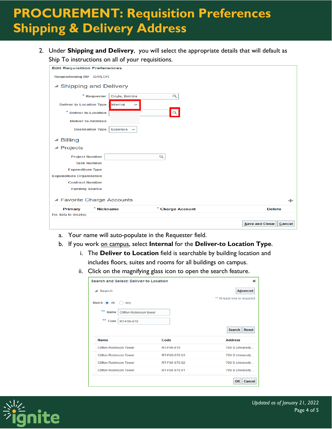2. Under **Shipping and Delivery**, you will select the appropriate details that will default as Ship To instructions on all of your requisitions.

| <b>Requisitioning BU BAYLOR</b>             |                    |                          |  |
|---------------------------------------------|--------------------|--------------------------|--|
| ▲ Shipping and Delivery                     |                    |                          |  |
| * Requester                                 | Doyle, Bobbie<br>Q |                          |  |
| <b>Deliver-to Location Type</b><br>Internal | $\check{ }$        |                          |  |
| * Deliver-to Location                       | $\Omega$           |                          |  |
| <b>Deliver-to Address</b>                   |                    |                          |  |
| <b>Destination Type</b><br>Expense          | $\check{ }$        |                          |  |
| ▲ Billing                                   |                    |                          |  |
| $\blacktriangle$ Projects                   |                    |                          |  |
| <b>Project Number</b>                       | Q                  |                          |  |
| <b>Task Number</b>                          |                    |                          |  |
| <b>Expenditure Type</b>                     |                    |                          |  |
| <b>Expenditure Organization</b>             |                    |                          |  |
| <b>Contract Number</b>                      |                    |                          |  |
| <b>Funding Source</b>                       |                    |                          |  |
| ▲ Favorite Charge Accounts<br>÷             |                    |                          |  |
| * Nickname<br><b>Primary</b>                | * Charge Account   | <b>Delete</b>            |  |
| No data to display.                         |                    |                          |  |
|                                             |                    | Save and Close<br>Cancel |  |

- a. Your name will auto-populate in the Requester field.
- b. If you work on campus, select **Internal** for the **Deliver-to Location Type**.
	- i. The **Deliver to Location** field is searchable by building location and includes floors, suites and rooms for all buildings on campus.
	- ii. Click on the magnifying glass icon to open the search feature.

| Search and Select: Deliver-to Location<br>× |                        |               |                               |
|---------------------------------------------|------------------------|---------------|-------------------------------|
| $\blacktriangle$ Search                     |                        |               | Advanced                      |
| Match (e) All                               | Any                    |               | ** At least one is required   |
| **<br>Name                                  | Clifton Robinson tower |               |                               |
| **<br>Code                                  | RT-F06-670             |               |                               |
|                                             |                        |               | <b>Search</b><br><b>Reset</b> |
| <b>Name</b>                                 |                        | Code          | <b>Address</b>                |
| <b>Clifton Robinson Tower</b>               |                        | RT-F06-670    | 700 S University              |
| <b>Clifton Robinson Tower</b>               |                        | RT-F06-670.03 | 700 S University              |
| <b>Clifton Robinson Tower</b>               |                        | RT-F06-670.02 | 700 S University              |
| <b>Clifton Robinson Tower</b>               |                        | RT-F06-670.01 | 700 S University              |
|                                             |                        |               | Cancel<br>OK                  |